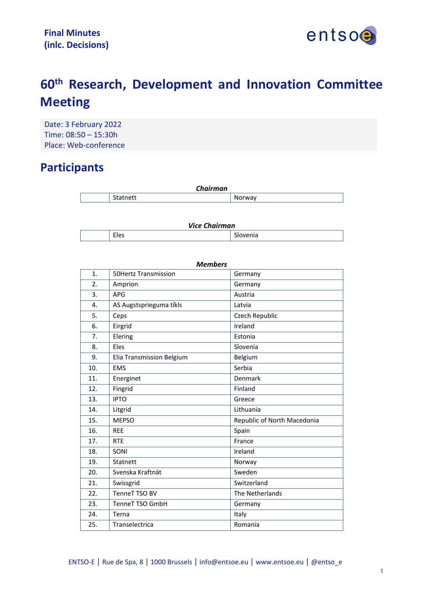

# **60th Research, Development and Innovation Committee Meeting**

Date: 3 February 2022 Time: 08:50 – 15:30h Place: Web-conference

# **Participants**

| <b>Chairman</b> |   |               |
|-----------------|---|---------------|
|                 | . | 'av<br>N<br>M |

| <b>Vice Chairman</b> |      |               |  |
|----------------------|------|---------------|--|
|                      | Eles | ∽<br>Slovenia |  |

| <b>Members</b>  |                             |                             |  |
|-----------------|-----------------------------|-----------------------------|--|
| $\mathbf{1}$ .  | <b>50Hertz Transmission</b> | Germany                     |  |
| 2.              | Amprion                     | Germany                     |  |
| 3.              | <b>APG</b>                  | Austria                     |  |
| 4.              | AS Augstsprieguma tïkls     | Latvia                      |  |
| 5.              | Ceps                        | Czech Republic              |  |
| 6.              | Eirgrid                     | Ireland                     |  |
| 7.              | Elering                     | Estonia                     |  |
| 8.              | Eles                        | Slovenia                    |  |
| 9.              | Elia Transmission Belgium   | Belgium                     |  |
| 10.             | <b>EMS</b>                  | Serbia                      |  |
| 11.             | Energinet                   | Denmark                     |  |
| 12.             | Fingrid                     | Finland                     |  |
| 13.             | <b>IPTO</b>                 | Greece                      |  |
| 14.             | Litgrid                     | Lithuania                   |  |
| 15.             | <b>MEPSO</b>                | Republic of North Macedonia |  |
| 16.             | <b>REE</b>                  | Spain                       |  |
| 17 <sub>1</sub> | <b>RTE</b>                  | France                      |  |
| 18.             | SONI                        | Ireland                     |  |
| 19.             | Statnett                    | Norway                      |  |
| 20.             | Svenska Kraftnät            | Sweden                      |  |
| 21.             | Swissgrid                   | Switzerland                 |  |
| 22.             | TenneT TSO BV               | The Netherlands             |  |
| 23.             | <b>TenneT TSO GmbH</b>      | Germany                     |  |
| 24.             | Terna                       | Italy                       |  |
| 25.             | Transelectrica              | Romania                     |  |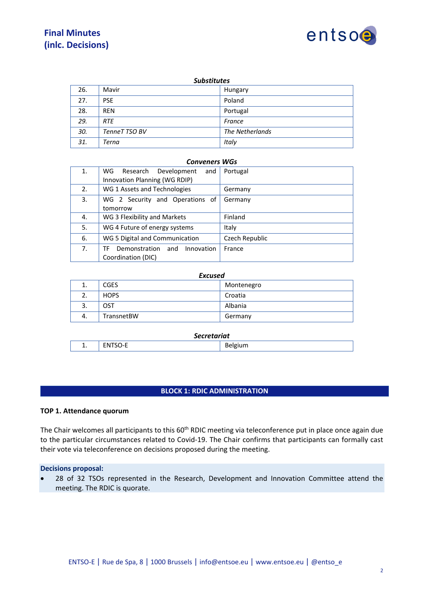# **Final Minutes (inlc. Decisions)**



| <b>Substitutes</b> |               |                 |
|--------------------|---------------|-----------------|
| 26.                | Mavir         | Hungary         |
| 27.                | <b>PSE</b>    | Poland          |
| 28.                | <b>REN</b>    | Portugal        |
| 29.                | <b>RTE</b>    | France          |
| 30.                | TenneT TSO BV | The Netherlands |
| 31.                | Terna         | Italy           |

#### *Conveners WGs*

| 1. | Research<br>Development<br>WG<br>and<br>Innovation Planning (WG RDIP) | Portugal       |
|----|-----------------------------------------------------------------------|----------------|
| 2. | WG 1 Assets and Technologies                                          | Germany        |
| 3. | WG 2 Security and Operations of<br>tomorrow                           | Germany        |
| 4. | WG 3 Flexibility and Markets                                          | Finland        |
| 5. | WG 4 Future of energy systems                                         | Italy          |
| 6. | WG 5 Digital and Communication                                        | Czech Republic |
| 7. | Innovation<br>Demonstration<br>and<br>TF<br>Coordination (DIC)        | France         |

#### *Excused*

| ⊥. | <b>CGES</b> | Montenegro |
|----|-------------|------------|
| z. | <b>HOPS</b> | Croatia    |
| 3. | OST         | Albania    |
| 4. | TransnetBW  | Germany    |

#### *Secretariat*

| . . | .<br>- NI<br><br>------ | $\overline{\phantom{a}}$<br>-<br>$\mu$ gilli $\sim$<br>יר<br>.<br> |
|-----|-------------------------|--------------------------------------------------------------------|
|-----|-------------------------|--------------------------------------------------------------------|

# **BLOCK 1: RDIC ADMINISTRATION**

# **TOP 1. Attendance quorum**

The Chair welcomes all participants to this 60<sup>th</sup> RDIC meeting via teleconference put in place once again due to the particular circumstances related to Covid-19. The Chair confirms that participants can formally cast their vote via teleconference on decisions proposed during the meeting.

#### **Decisions proposal:**

• 28 of 32 TSOs represented in the Research, Development and Innovation Committee attend the meeting. The RDIC is quorate.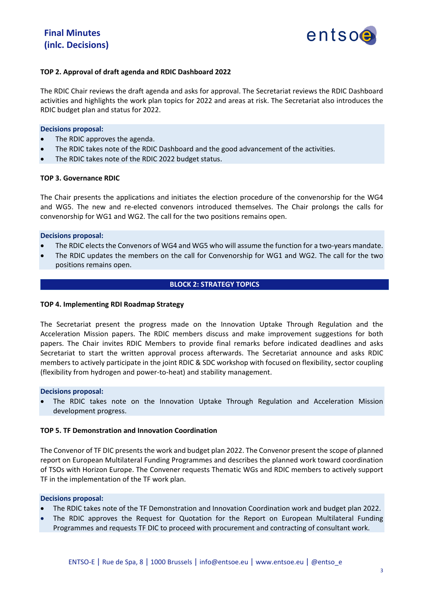

# **TOP 2. Approval of draft agenda and RDIC Dashboard 2022**

The RDIC Chair reviews the draft agenda and asks for approval. The Secretariat reviews the RDIC Dashboard activities and highlights the work plan topics for 2022 and areas at risk. The Secretariat also introduces the RDIC budget plan and status for 2022.

#### **Decisions proposal:**

- The RDIC approves the agenda.
- The RDIC takes note of the RDIC Dashboard and the good advancement of the activities.
- The RDIC takes note of the RDIC 2022 budget status.

#### **TOP 3. Governance RDIC**

The Chair presents the applications and initiates the election procedure of the convenorship for the WG4 and WG5. The new and re-elected convenors introduced themselves. The Chair prolongs the calls for convenorship for WG1 and WG2. The call for the two positions remains open.

#### **Decisions proposal:**

- The RDIC elects the Convenors of WG4 and WG5 who will assume the function for a two-years mandate.
- The RDIC updates the members on the call for Convenorship for WG1 and WG2. The call for the two positions remains open.

# **BLOCK 2: STRATEGY TOPICS**

#### **TOP 4. Implementing RDI Roadmap Strategy**

The Secretariat present the progress made on the Innovation Uptake Through Regulation and the Acceleration Mission papers. The RDIC members discuss and make improvement suggestions for both papers. The Chair invites RDIC Members to provide final remarks before indicated deadlines and asks Secretariat to start the written approval process afterwards. The Secretariat announce and asks RDIC members to actively participate in the joint RDIC & SDC workshop with focused on flexibility, sector coupling (flexibility from hydrogen and power-to-heat) and stability management.

#### **Decisions proposal:**

• The RDIC takes note on the Innovation Uptake Through Regulation and Acceleration Mission development progress.

#### **TOP 5. TF Demonstration and Innovation Coordination**

The Convenor of TF DIC presents the work and budget plan 2022. The Convenor present the scope of planned report on European Multilateral Funding Programmes and describes the planned work toward coordination of TSOs with Horizon Europe. The Convener requests Thematic WGs and RDIC members to actively support TF in the implementation of the TF work plan.

#### **Decisions proposal:**

- The RDIC takes note of the TF Demonstration and Innovation Coordination work and budget plan 2022.
- The RDIC approves the Request for Quotation for the Report on European Multilateral Funding Programmes and requests TF DIC to proceed with procurement and contracting of consultant work.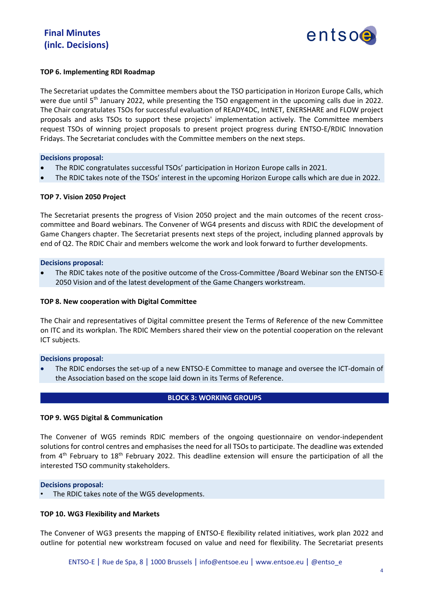

# **TOP 6. Implementing RDI Roadmap**

The Secretariat updates the Committee members about the TSO participation in Horizon Europe Calls, which were due until 5<sup>th</sup> January 2022, while presenting the TSO engagement in the upcoming calls due in 2022. The Chair congratulates TSOs for successful evaluation of READY4DC, IntNET, ENERSHARE and FLOW project proposals and asks TSOs to support these projects' implementation actively. The Committee members request TSOs of winning project proposals to present project progress during ENTSO-E/RDIC Innovation Fridays. The Secretariat concludes with the Committee members on the next steps.

# **Decisions proposal:**

- The RDIC congratulates successful TSOs' participation in Horizon Europe calls in 2021.
- The RDIC takes note of the TSOs' interest in the upcoming Horizon Europe calls which are due in 2022.

# **TOP 7. Vision 2050 Project**

The Secretariat presents the progress of Vision 2050 project and the main outcomes of the recent crosscommittee and Board webinars. The Convener of WG4 presents and discuss with RDIC the development of Game Changers chapter. The Secretariat presents next steps of the project, including planned approvals by end of Q2. The RDIC Chair and members welcome the work and look forward to further developments.

# **Decisions proposal:**

• The RDIC takes note of the positive outcome of the Cross-Committee /Board Webinar son the ENTSO-E 2050 Vision and of the latest development of the Game Changers workstream.

# **TOP 8. New cooperation with Digital Committee**

The Chair and representatives of Digital committee present the Terms of Reference of the new Committee on ITC and its workplan. The RDIC Members shared their view on the potential cooperation on the relevant ICT subjects.

# **Decisions proposal:**

• The RDIC endorses the set-up of a new ENTSO-E Committee to manage and oversee the ICT-domain of the Association based on the scope laid down in its Terms of Reference.

# **BLOCK 3: WORKING GROUPS**

# **TOP 9. WG5 Digital & Communication**

The Convener of WG5 reminds RDIC members of the ongoing questionnaire on vendor-independent solutions for control centres and emphasises the need for all TSOs to participate. The deadline was extended from 4<sup>th</sup> February to 18<sup>th</sup> February 2022. This deadline extension will ensure the participation of all the interested TSO community stakeholders.

#### **Decisions proposal:**

The RDIC takes note of the WG5 developments.

# **TOP 10. WG3 Flexibility and Markets**

The Convener of WG3 presents the mapping of ENTSO-E flexibility related initiatives, work plan 2022 and outline for potential new workstream focused on value and need for flexibility. The Secretariat presents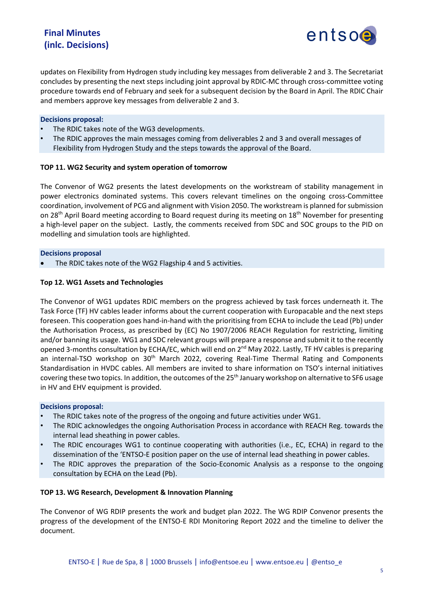# **Final Minutes (inlc. Decisions)**



updates on Flexibility from Hydrogen study including key messages from deliverable 2 and 3. The Secretariat concludes by presenting the next steps including joint approval by RDIC-MC through cross-committee voting procedure towards end of February and seek for a subsequent decision by the Board in April. The RDIC Chair and members approve key messages from deliverable 2 and 3.

# **Decisions proposal:**

- The RDIC takes note of the WG3 developments.
- The RDIC approves the main messages coming from deliverables 2 and 3 and overall messages of Flexibility from Hydrogen Study and the steps towards the approval of the Board.

# **TOP 11. WG2 Security and system operation of tomorrow**

The Convenor of WG2 presents the latest developments on the workstream of stability management in power electronics dominated systems. This covers relevant timelines on the ongoing cross-Committee coordination, involvement of PCG and alignment with Vision 2050. The workstream is planned for submission on 28<sup>th</sup> April Board meeting according to Board request during its meeting on 18<sup>th</sup> November for presenting a high-level paper on the subject. Lastly, the comments received from SDC and SOC groups to the PID on modelling and simulation tools are highlighted.

# **Decisions proposal**

• The RDIC takes note of the WG2 Flagship 4 and 5 activities.

# **Top 12. WG1 Assets and Technologies**

The Convenor of WG1 updates RDIC members on the progress achieved by task forces underneath it. The Task Force (TF) HV cables leader informs about the current cooperation with Europacable and the next steps foreseen. This cooperation goes hand-in-hand with the prioritising from ECHA to include the Lead (Pb) under the Authorisation Process, as prescribed by (EC) No 1907/2006 REACH Regulation for restricting, limiting and/or banning its usage. WG1 and SDC relevant groups will prepare a response and submit it to the recently opened 3-months consultation by ECHA/EC, which will end on 2<sup>nd</sup> May 2022. Lastly, TF HV cables is preparing an internal-TSO workshop on 30<sup>th</sup> March 2022, covering Real-Time Thermal Rating and Components Standardisation in HVDC cables. All members are invited to share information on TSO's internal initiatives covering these two topics. In addition, the outcomes of the 25<sup>th</sup> January workshop on alternative to SF6 usage in HV and EHV equipment is provided.

#### **Decisions proposal:**

- The RDIC takes note of the progress of the ongoing and future activities under WG1.
- The RDIC acknowledges the ongoing Authorisation Process in accordance with REACH Reg. towards the internal lead sheathing in power cables.
- The RDIC encourages WG1 to continue cooperating with authorities (i.e., EC, ECHA) in regard to the dissemination of the 'ENTSO-E position paper on the use of internal lead sheathing in power cables.
- The RDIC approves the preparation of the Socio-Economic Analysis as a response to the ongoing consultation by ECHA on the Lead (Pb).

# **TOP 13. WG Research, Development & Innovation Planning**

The Convenor of WG RDIP presents the work and budget plan 2022. The WG RDIP Convenor presents the progress of the development of the ENTSO-E RDI Monitoring Report 2022 and the timeline to deliver the document.